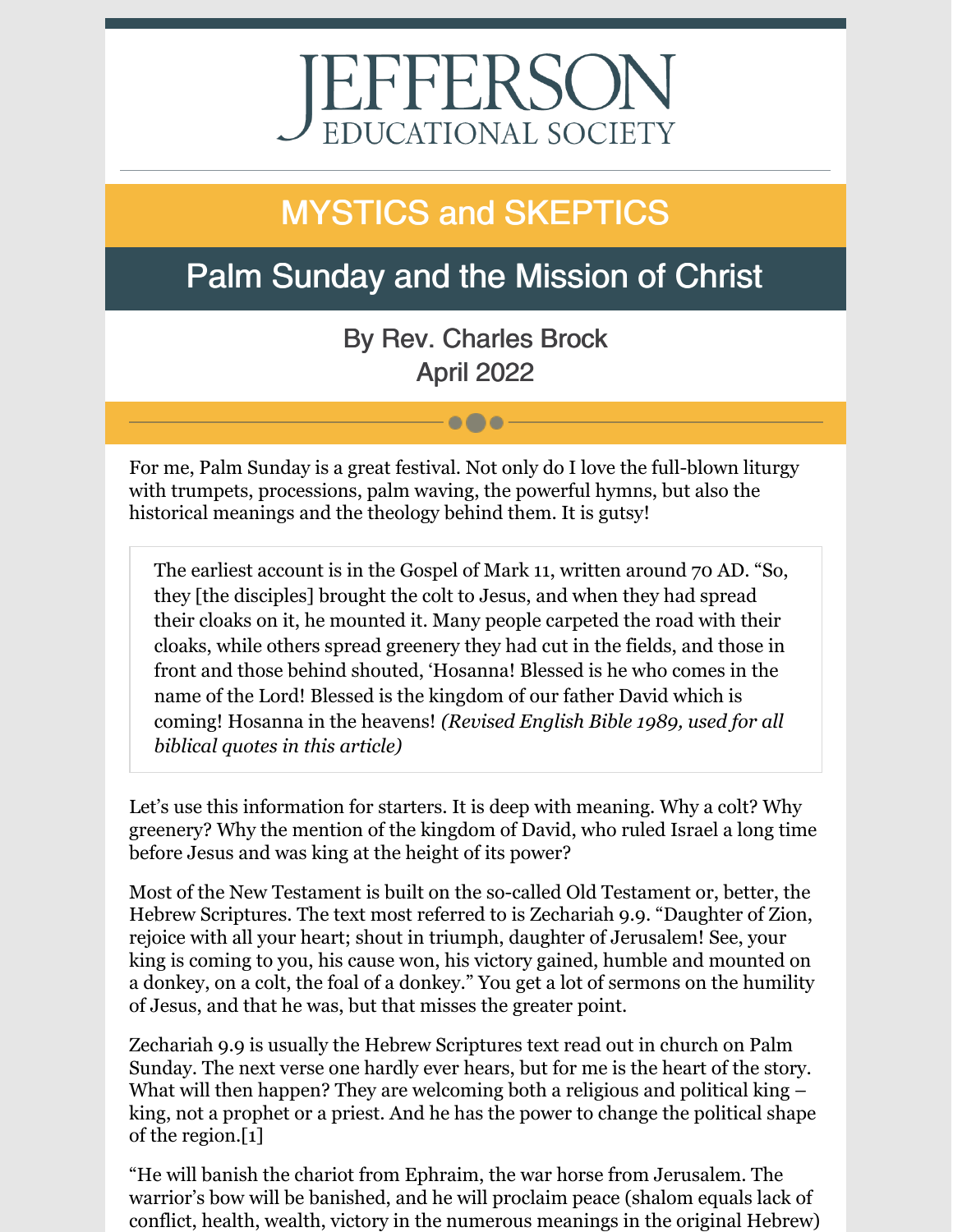# EFFERSO EDUCATIONAL SOCIETY

# MYSTICS and SKEPTICS

## Palm Sunday and the Mission of Christ

By Rev. Charles Brock April 2022

 $\bullet\bullet\bullet$ 

For me, Palm Sunday is a great festival. Not only do I love the full-blown liturgy with trumpets, processions, palm waving, the powerful hymns, but also the historical meanings and the theology behind them. It is gutsy!

The earliest account is in the Gospel of Mark 11, written around 70 AD. "So, they [the disciples] brought the colt to Jesus, and when they had spread their cloaks on it, he mounted it. Many people carpeted the road with their cloaks, while others spread greenery they had cut in the fields, and those in front and those behind shouted, 'Hosanna! Blessed is he who comes in the name of the Lord! Blessed is the kingdom of our father David which is coming! Hosanna in the heavens! *(Revised English Bible 1989, used for all biblical quotes in this article)*

Let's use this information for starters. It is deep with meaning. Why a colt? Why greenery? Why the mention of the kingdom of David, who ruled Israel a long time before Jesus and was king at the height of its power?

Most of the New Testament is built on the so-called Old Testament or, better, the Hebrew Scriptures. The text most referred to is Zechariah 9.9. "Daughter of Zion, rejoice with all your heart; shout in triumph, daughter of Jerusalem! See, your king is coming to you, his cause won, his victory gained, humble and mounted on a donkey, on a colt, the foal of a donkey." You get a lot of sermons on the humility of Jesus, and that he was, but that misses the greater point.

Zechariah 9.9 is usually the Hebrew Scriptures text read out in church on Palm Sunday. The next verse one hardly ever hears, but for me is the heart of the story. What will then happen? They are welcoming both a religious and political king – king, not a prophet or a priest. And he has the power to change the political shape of the region.[1]

"He will banish the chariot from Ephraim, the war horse from Jerusalem. The warrior's bow will be banished, and he will proclaim peace (shalom equals lack of conflict, health, wealth, victory in the numerous meanings in the original Hebrew)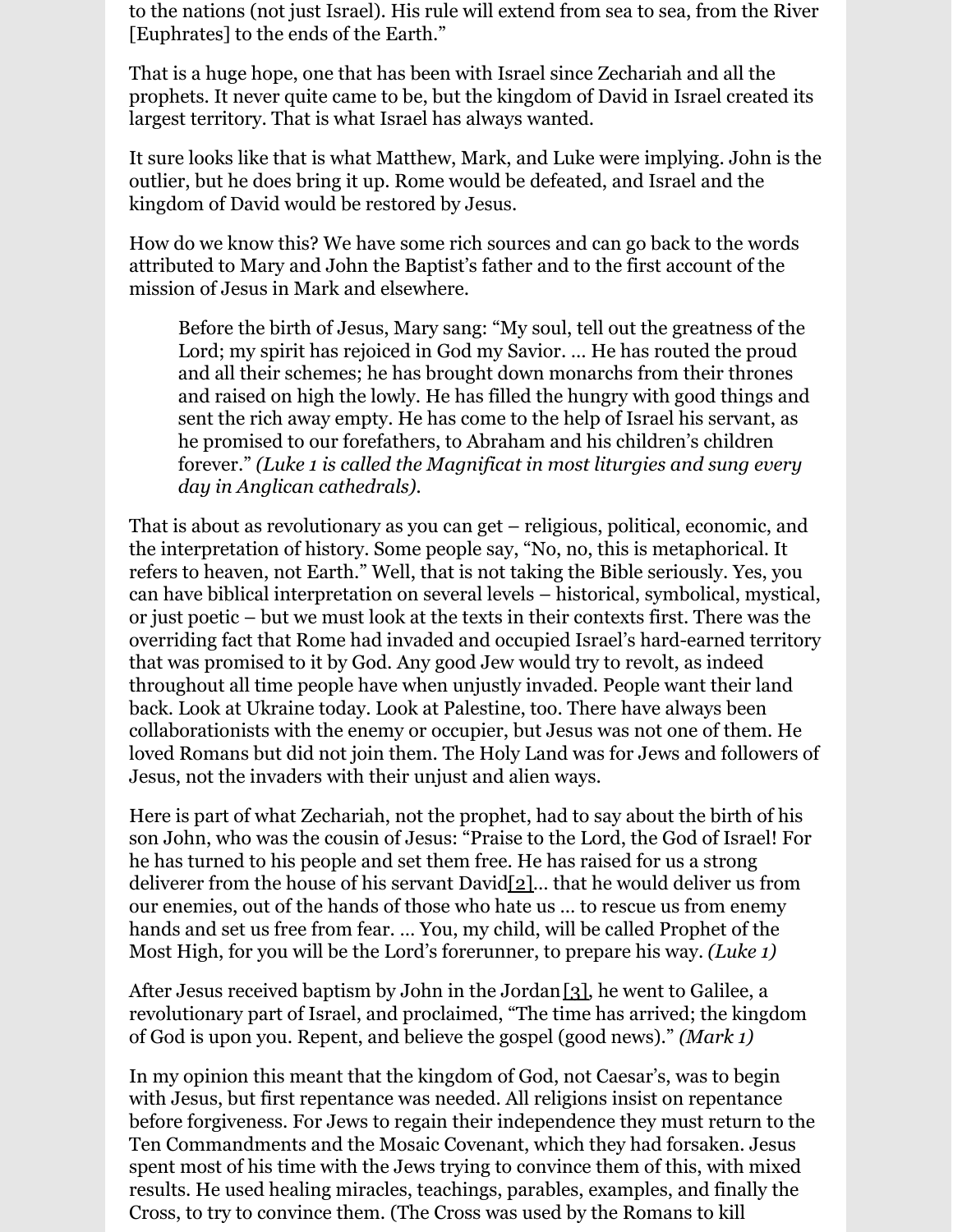to the nations (not just Israel). His rule will extend from sea to sea, from the River [Euphrates] to the ends of the Earth."

That is a huge hope, one that has been with Israel since Zechariah and all the prophets. It never quite came to be, but the kingdom of David in Israel created its largest territory. That is what Israel has always wanted.

It sure looks like that is what Matthew, Mark, and Luke were implying. John is the outlier, but he does bring it up. Rome would be defeated, and Israel and the kingdom of David would be restored by Jesus.

How do we know this? We have some rich sources and can go back to the words attributed to Mary and John the Baptist's father and to the first account of the mission of Jesus in Mark and elsewhere.

Before the birth of Jesus, Mary sang: "My soul, tell out the greatness of the Lord; my spirit has rejoiced in God my Savior. ... He has routed the proud and all their schemes; he has brought down monarchs from their thrones and raised on high the lowly. He has filled the hungry with good things and sent the rich away empty. He has come to the help of Israel his servant, as he promised to our forefathers, to Abraham and his children's children lllllllllforever." *(Luke 1 is called the Magnificat in most liturgies and sung every day in Anglican cathedrals*).

That is about as revolutionary as you can get – religious, political, economic, and the interpretation of history. Some people say, "No, no, this is metaphorical. It refers to heaven, not Earth." Well, that is not taking the Bible seriously. Yes, you can have biblical interpretation on several levels – historical, symbolical, mystical, or just poetic – but we must look at the texts in their contexts first. There was the overriding fact that Rome had invaded and occupied Israel's hard-earned territory that was promised to it by God. Any good Jew would try to revolt, as indeed throughout all time people have when unjustly invaded. People want their land back. Look at Ukraine today. Look at Palestine, too. There have always been collaborationists with the enemy or occupier, but Jesus was not one of them. He loved Romans but did not join them. The Holy Land was for Jews and followers of Jesus, not the invaders with their unjust and alien ways.

Here is part of what Zechariah, not the prophet, had to say about the birth of his son John, who was the cousin of Jesus: "Praise to the Lord, the God of Israel! For he has turned to his people and set them free. He has raised for us a strong deliverer from the house of his servant David[2]… that he would deliver us from our enemies, out of the hands of those who hate us … to rescue us from enemy hands and set us free from fear. … You, my child, will be called Prophet of the Most High, for you will be the Lord's forerunner, to prepare his way. *(Luke 1)*

After Jesus received baptism by John in the Jordan[3], he went to Galilee, a revolutionary part of Israel, and proclaimed, "The time has arrived; the kingdom of God is upon you. Repent, and believe the gospel (good news)." *(Mark 1)*

In my opinion this meant that the kingdom of God, not Caesar's, was to begin with Jesus, but first repentance was needed. All religions insist on repentance before forgiveness. For Jews to regain their independence they must return to the Ten Commandments and the Mosaic Covenant, which they had forsaken. Jesus spent most of his time with the Jews trying to convince them of this, with mixed results. He used healing miracles, teachings, parables, examples, and finally the Cross, to try to convince them. (The Cross was used by the Romans to kill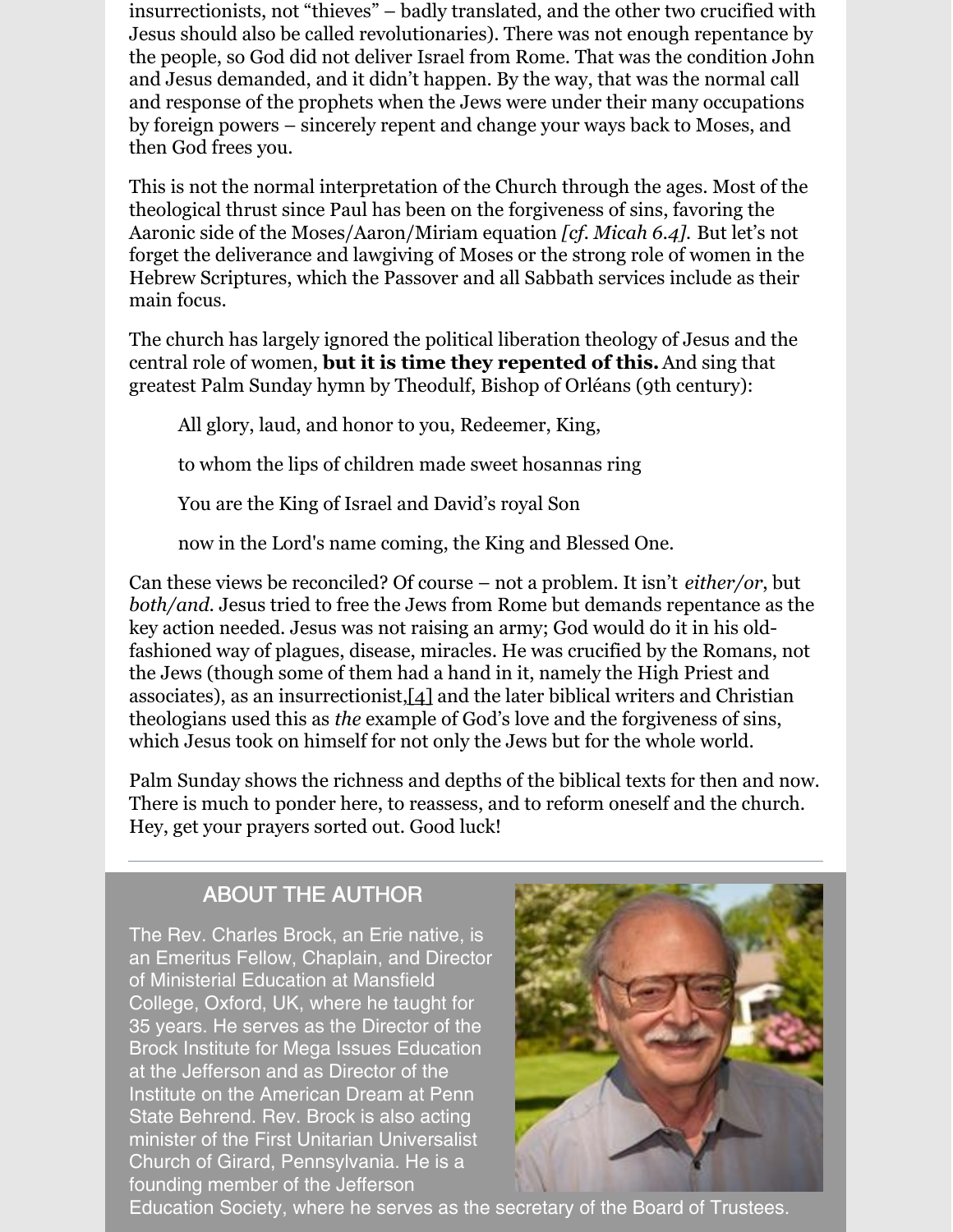insurrectionists, not "thieves" – badly translated, and the other two crucified with Jesus should also be called revolutionaries). There was not enough repentance by the people, so God did not deliver Israel from Rome. That was the condition John and Jesus demanded, and it didn't happen. By the way, that was the normal call and response of the prophets when the Jews were under their many occupations by foreign powers – sincerely repent and change your ways back to Moses, and then God frees you.

This is not the normal interpretation of the Church through the ages. Most of the theological thrust since Paul has been on the forgiveness of sins, favoring the Aaronic side of the Moses/Aaron/Miriam equation *[cf. Micah 6.4].* But let's not forget the deliverance and lawgiving of Moses or the strong role of women in the Hebrew Scriptures, which the Passover and all Sabbath services include as their main focus.

The church has largely ignored the political liberation theology of Jesus and the central role of women, **but it is time they repented of this.**And sing that greatest Palm Sunday hymn by Theodulf, Bishop of Orléans (9th century):

All glory, laud, and honor to you, Redeemer, King,

to whom the lips of children made sweet hosannas ring

You are the King of Israel and David's royal Son

now in the Lord's name coming, the King and Blessed One.

Can these views be reconciled? Of course – not a problem. It isn't *either/or*, but *both/and*. Jesus tried to free the Jews from Rome but demands repentance as the key action needed. Jesus was not raising an army; God would do it in his oldfashioned way of plagues, disease, miracles. He was crucified by the Romans, not the Jews (though some of them had a hand in it, namely the High Priest and associates), as an insurrectionist,[4] and the later biblical writers and Christian theologians used this as *the* example of God's love and the forgiveness of sins, which Jesus took on himself for not only the Jews but for the whole world.

Palm Sunday shows the richness and depths of the biblical texts for then and now. There is much to ponder here, to reassess, and to reform oneself and the church. Hey, get your prayers sorted out. Good luck!

#### ABOUT THE AUTHOR

The Rev. Charles Brock, an Erie native, is an Emeritus Fellow, Chaplain, and Director of Ministerial Education at Mansfield College, Oxford, UK, where he taught for 35 years. He serves as the Director of the Brock Institute for Mega Issues Education at the Jefferson and as Director of the Institute on the American Dream at Penn State Behrend. Rev. Brock is also acting minister of the First Unitarian Universalist Church of Girard, Pennsylvania. He is a founding member of the Jefferson



Education Society, where he serves as the secretary of the Board of Trustees.